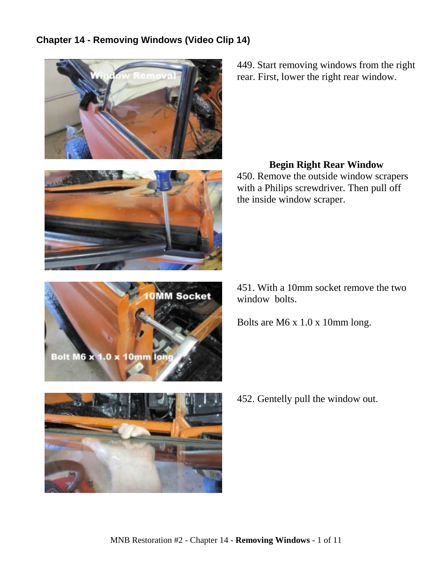# **Chapter 14 - Removing Windows (Video Clip 14)**







449. Start removing windows from the right rear. First, lower the right rear window.

## **Begin Right Rear Window**

450. Remove the outside window scrapers with a Philips screwdriver. Then pull off the inside window scraper.

451. With a 10mm socket remove the two window bolts.

Bolts are M6 x 1.0 x 10mm long.



452. Gentelly pull the window out.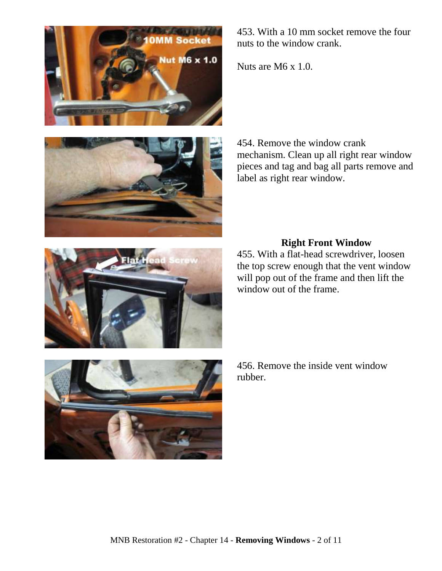



453. With a 10 mm socket remove the four nuts to the window crank.

Nuts are M6 x 1.0.

454. Remove the window crank mechanism. Clean up all right rear window pieces and tag and bag all parts remove and label as right rear window.

# **Right Front Window**

455. With a flat-head screwdriver, loosen the top screw enough that the vent window will pop out of the frame and then lift the window out of the frame.



456. Remove the inside vent window rubber.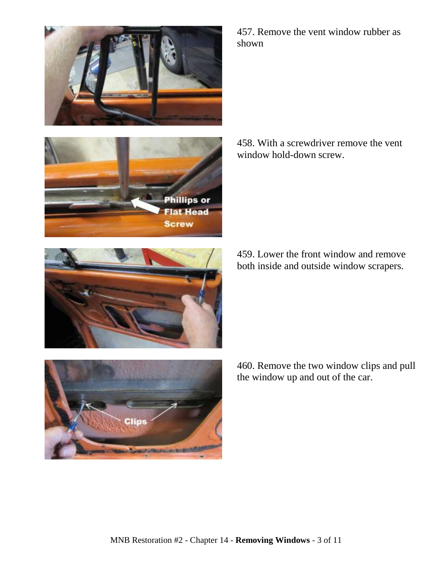

457. Remove the vent window rubber as shown

458. With a screwdriver remove the vent window hold-down screw.



459. Lower the front window and remove both inside and outside window scrapers.



460. Remove the two window clips and pull the window up and out of the car.

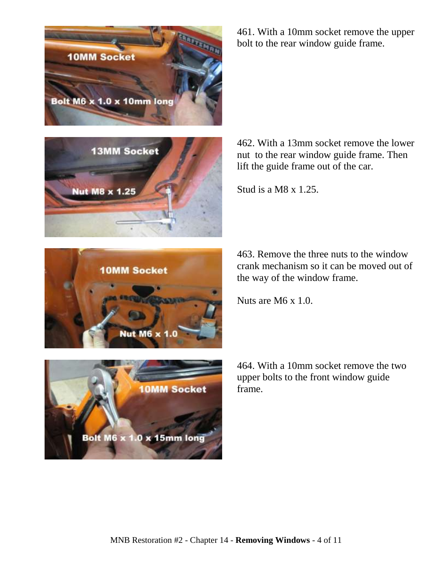







461. With a 10mm socket remove the upper bolt to the rear window guide frame.

462. With a 13mm socket remove the lower nut to the rear window guide frame. Then lift the guide frame out of the car.

Stud is a M8 x 1.25.

463. Remove the three nuts to the window crank mechanism so it can be moved out of the way of the window frame.

Nuts are M6 x 1.0.

464. With a 10mm socket remove the two upper bolts to the front window guide frame.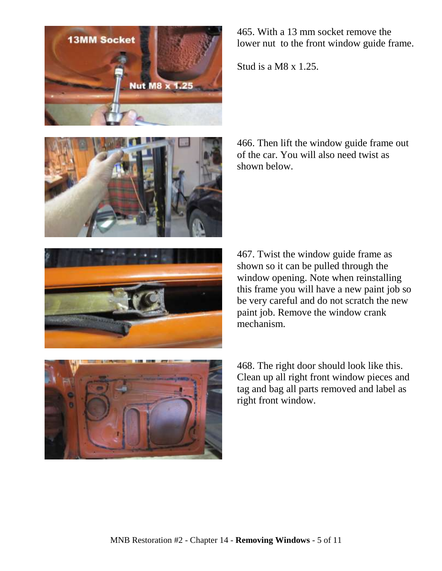





465. With a 13 mm socket remove the lower nut to the front window guide frame.

Stud is a M8  $\times$  1.25.

466. Then lift the window guide frame out of the car. You will also need twist as shown below.

467. Twist the window guide frame as shown so it can be pulled through the window opening. Note when reinstalling this frame you will have a new paint job so be very careful and do not scratch the new paint job. Remove the window crank mechanism.

468. The right door should look like this. Clean up all right front window pieces and tag and bag all parts removed and label as right front window.

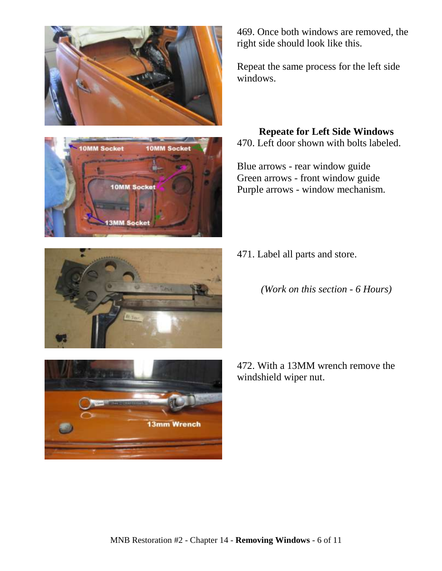



469. Once both windows are removed, the right side should look like this.

Repeat the same process for the left side windows.

#### **Repeate for Left Side Windows** 470. Left door shown with bolts labeled.

Blue arrows - rear window guide Green arrows - front window guide Purple arrows - window mechanism.



- 471. Label all parts and store.
	- *(Work on this section - 6 Hours)*

472. With a 13MM wrench remove the windshield wiper nut.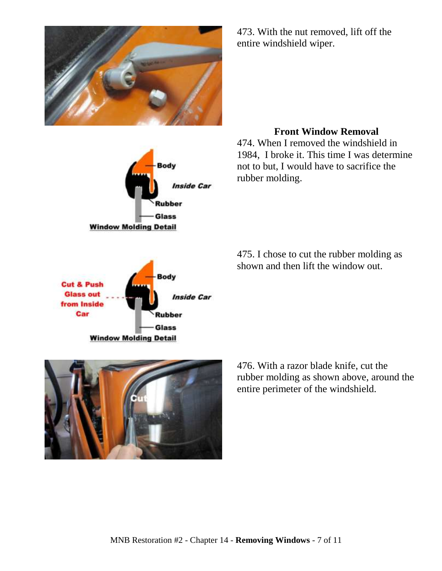





473. With the nut removed, lift off the entire windshield wiper.

#### **Front Window Removal**

474. When I removed the windshield in 1984, I broke it. This time I was determine not to but, I would have to sacrifice the rubber molding.

475. I chose to cut the rubber molding as shown and then lift the window out.



476. With a razor blade knife, cut the rubber molding as shown above, around the entire perimeter of the windshield.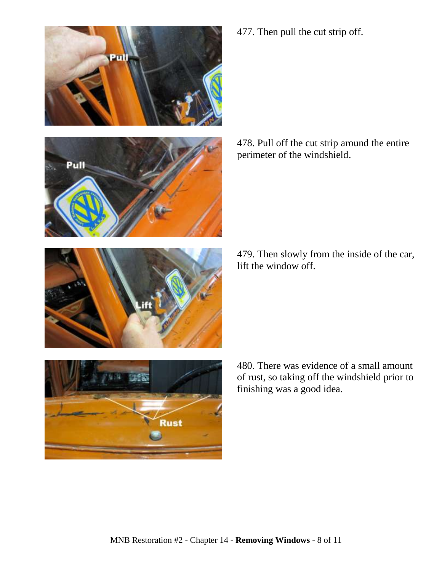

477. Then pull the cut strip off.

478. Pull off the cut strip around the entire perimeter of the windshield.

479. Then slowly from the inside of the car, lift the window off.

480. There was evidence of a small amount of rust, so taking off the windshield prior to finishing was a good idea.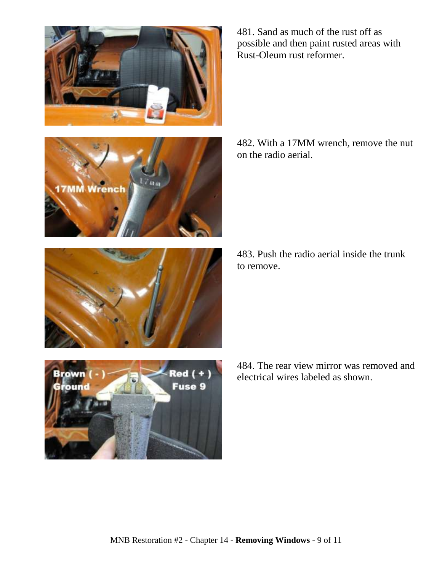







481. Sand as much of the rust off as possible and then paint rusted areas with Rust-Oleum rust reformer.

482. With a 17MM wrench, remove the nut on the radio aerial.

483. Push the radio aerial inside the trunk to remove.

484. The rear view mirror was removed and electrical wires labeled as shown.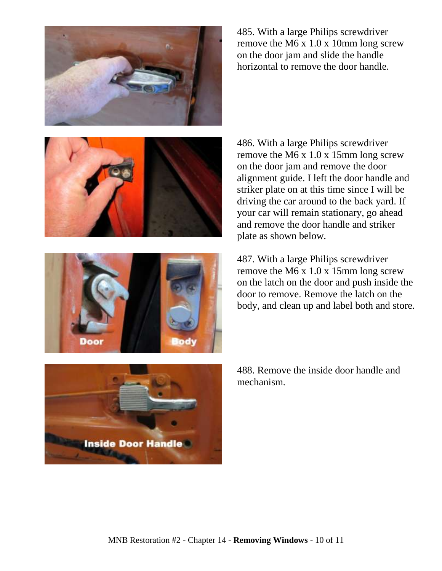

485. With a large Philips screwdriver remove the M6 x 1.0 x 10mm long screw on the door jam and slide the handle horizontal to remove the door handle.





486. With a large Philips screwdriver remove the M6 x 1.0 x 15mm long screw on the door jam and remove the door alignment guide. I left the door handle and striker plate on at this time since I will be driving the car around to the back yard. If your car will remain stationary, go ahead and remove the door handle and striker plate as shown below.

487. With a large Philips screwdriver remove the M6 x 1.0 x 15mm long screw on the latch on the door and push inside the door to remove. Remove the latch on the body, and clean up and label both and store.



488. Remove the inside door handle and mechanism.